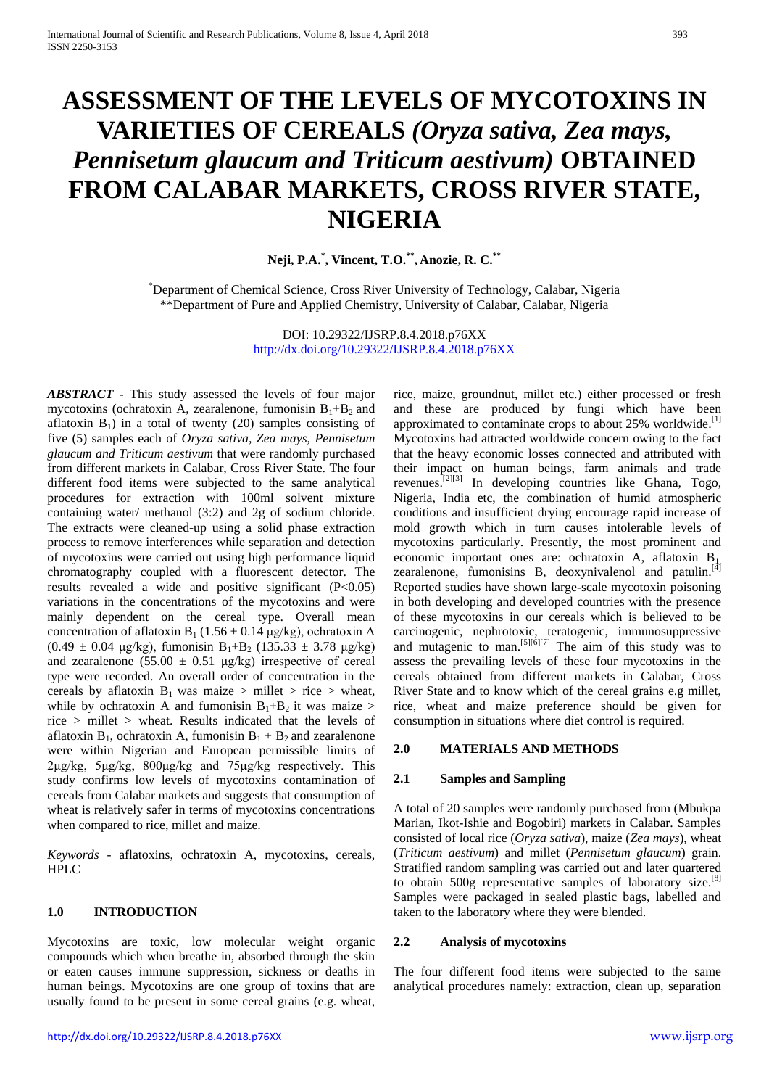# **ASSESSMENT OF THE LEVELS OF MYCOTOXINS IN VARIETIES OF CEREALS** *(Oryza sativa, Zea mays, Pennisetum glaucum and Triticum aestivum)* **OBTAINED FROM CALABAR MARKETS, CROSS RIVER STATE, NIGERIA**

**Neji, P.A. \* , Vincent, T.O. \*\*, Anozie, R. C. \*\***

\* Department of Chemical Science, Cross River University of Technology, Calabar, Nigeria \*\*Department of Pure and Applied Chemistry, University of Calabar, Calabar, Nigeria

> DOI: 10.29322/IJSRP.8.4.2018.p76XX <http://dx.doi.org/10.29322/IJSRP.8.4.2018.p76XX>

*ABSTRACT* **-** This study assessed the levels of four major mycotoxins (ochratoxin A, zearalenone, fumonisin  $B_1 + B_2$  and aflatoxin  $B_1$ ) in a total of twenty (20) samples consisting of five (5) samples each of *Oryza sativa, Zea mays, Pennisetum glaucum and Triticum aestivum* that were randomly purchased from different markets in Calabar, Cross River State. The four different food items were subjected to the same analytical procedures for extraction with 100ml solvent mixture containing water/ methanol (3:2) and 2g of sodium chloride. The extracts were cleaned-up using a solid phase extraction process to remove interferences while separation and detection of mycotoxins were carried out using high performance liquid chromatography coupled with a fluorescent detector. The results revealed a wide and positive significant  $(P<0.05)$ variations in the concentrations of the mycotoxins and were mainly dependent on the cereal type. Overall mean concentration of aflatoxin B<sub>1</sub> (1.56  $\pm$  0.14 μg/kg), ochratoxin A  $(0.49 \pm 0.04 \text{ µg/kg})$ , fumonisin B<sub>1</sub>+B<sub>2</sub> (135.33  $\pm$  3.78  $\mu$ g/kg) and zearalenone  $(55.00 \pm 0.51 \mu g/kg)$  irrespective of cereal type were recorded. An overall order of concentration in the cereals by aflatoxin  $B_1$  was maize > millet > rice > wheat, while by ochratoxin A and fumonisin  $B_1 + B_2$  it was maize > rice > millet > wheat. Results indicated that the levels of aflatoxin B<sub>1</sub>, ochratoxin A, fumonisin  $B_1 + B_2$  and zearalenone were within Nigerian and European permissible limits of 2μg/kg, 5μg/kg, 800μg/kg and 75μg/kg respectively. This study confirms low levels of mycotoxins contamination of cereals from Calabar markets and suggests that consumption of wheat is relatively safer in terms of mycotoxins concentrations when compared to rice, millet and maize.

*Keywords* - aflatoxins, ochratoxin A, mycotoxins, cereals, HPLC

# **1.0 INTRODUCTION**

Mycotoxins are toxic, low molecular weight organic compounds which when breathe in, absorbed through the skin or eaten causes immune suppression, sickness or deaths in human beings. Mycotoxins are one group of toxins that are usually found to be present in some cereal grains (e.g. wheat, rice, maize, groundnut, millet etc.) either processed or fresh and these are produced by fungi which have been approximated to contaminate crops to about 25% worldwide.<sup>[1]</sup> Mycotoxins had attracted worldwide concern owing to the fact that the heavy economic losses connected and attributed with their impact on human beings, farm animals and trade revenues.<sup>[2][3]</sup> In developing countries like Ghana, Togo, Nigeria, India etc, the combination of humid atmospheric conditions and insufficient drying encourage rapid increase of mold growth which in turn causes intolerable levels of mycotoxins particularly. Presently, the most prominent and economic important ones are: ochratoxin A, aflatoxin  $B_{1}$ , zearalenone, fumonisins B, deoxynivalenol and patulin.<sup>[4]</sup> Reported studies have shown large-scale mycotoxin poisoning in both developing and developed countries with the presence of these mycotoxins in our cereals which is believed to be carcinogenic, nephrotoxic, teratogenic, immunosuppressive and mutagenic to man.<sup>[5][6][7]</sup> The aim of this study was to assess the prevailing levels of these four mycotoxins in the cereals obtained from different markets in Calabar, Cross River State and to know which of the cereal grains e.g millet, rice, wheat and maize preference should be given for consumption in situations where diet control is required.

### **2.0 MATERIALS AND METHODS**

#### **2.1 Samples and Sampling**

A total of 20 samples were randomly purchased from (Mbukpa Marian, Ikot-Ishie and Bogobiri) markets in Calabar. Samples consisted of local rice (*Oryza sativa*), maize (*Zea mays*), wheat (*Triticum aestivum*) and millet (*Pennisetum glaucum*) grain. Stratified random sampling was carried out and later quartered to obtain 500g representative samples of laboratory size.<sup>[8]</sup> Samples were packaged in sealed plastic bags, labelled and taken to the laboratory where they were blended.

#### **2.2 Analysis of mycotoxins**

The four different food items were subjected to the same analytical procedures namely: extraction, clean up, separation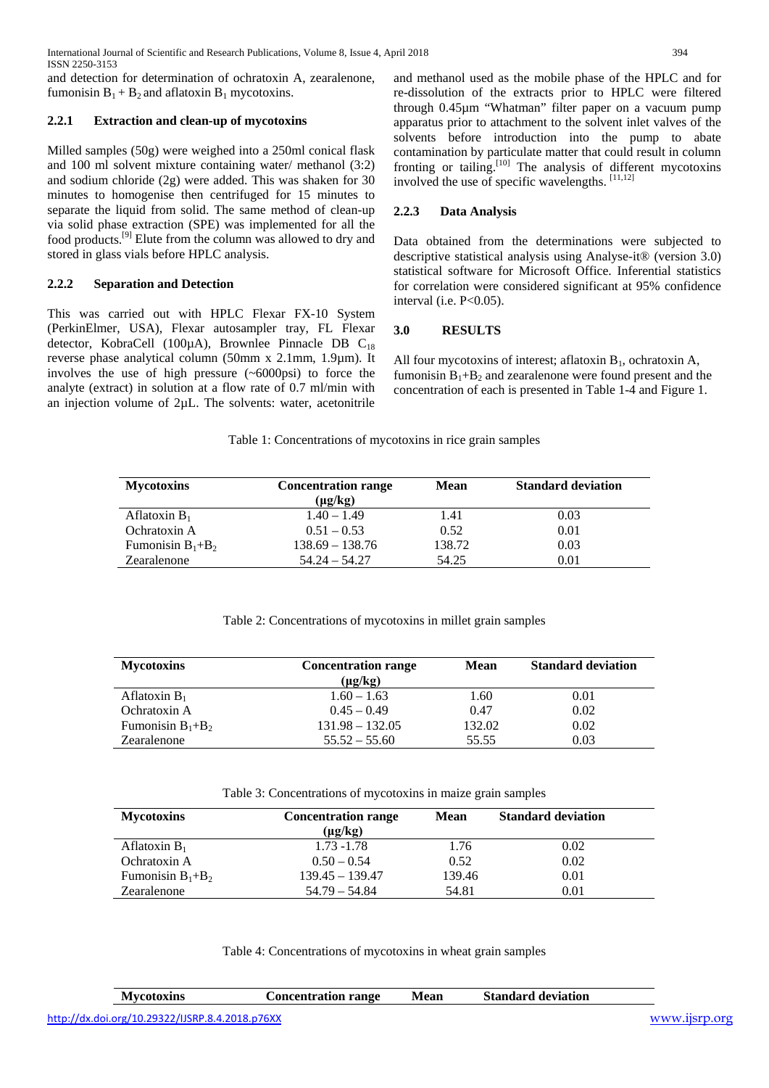International Journal of Scientific and Research Publications, Volume 8, Issue 4, April 2018 394 ISSN 2250-3153

and detection for determination of ochratoxin A, zearalenone, fumonisin  $B_1 + B_2$  and aflatoxin  $B_1$  mycotoxins.

# **2.2.1 Extraction and clean-up of mycotoxins**

Milled samples (50g) were weighed into a 250ml conical flask and 100 ml solvent mixture containing water/ methanol (3:2) and sodium chloride (2g) were added. This was shaken for 30 minutes to homogenise then centrifuged for 15 minutes to separate the liquid from solid. The same method of clean-up via solid phase extraction (SPE) was implemented for all the food products.<sup>[9]</sup> Elute from the column was allowed to dry and stored in glass vials before HPLC analysis.

# **2.2.2 Separation and Detection**

This was carried out with HPLC Flexar FX-10 System (PerkinElmer, USA), Flexar autosampler tray, FL Flexar detector, KobraCell (100 $\mu$ A), Brownlee Pinnacle DB C<sub>18</sub> reverse phase analytical column (50mm x 2.1mm, 1.9µm). It involves the use of high pressure (~6000psi) to force the analyte (extract) in solution at a flow rate of 0.7 ml/min with an injection volume of 2µL. The solvents: water, acetonitrile

and methanol used as the mobile phase of the HPLC and for re-dissolution of the extracts prior to HPLC were filtered through 0.45µm "Whatman" filter paper on a vacuum pump apparatus prior to attachment to the solvent inlet valves of the solvents before introduction into the pump to abate contamination by particulate matter that could result in column fronting or tailing.<sup>[10]</sup> The analysis of different mycotoxins involved the use of specific wavelengths. [11,12]

# **2.2.3 Data Analysis**

Data obtained from the determinations were subjected to descriptive statistical analysis using Analyse-it® (version 3.0) statistical software for Microsoft Office. Inferential statistics for correlation were considered significant at 95% confidence interval (i.e. P<0.05).

# **3.0 RESULTS**

All four mycotoxins of interest; aflatoxin  $B_1$ , ochratoxin A, fumonisin  $B_1 + B_2$  and zearalenone were found present and the concentration of each is presented in Table 1-4 and Figure 1.

## Table 1: Concentrations of mycotoxins in rice grain samples

| <b>Mycotoxins</b>     | <b>Concentration range</b> | <b>Mean</b><br>$(\mu g/kg)$ |      |
|-----------------------|----------------------------|-----------------------------|------|
| Aflatoxin $B_1$       | $1.40 - 1.49$              | 1.41                        | 0.03 |
| Ochratoxin A          | $0.51 - 0.53$              | 0.52                        | 0.01 |
| Fumonisin $B_1 + B_2$ | $138.69 - 138.76$          | 138.72                      | 0.03 |
| Zearalenone           | $54.24 - 54.27$            | 54.25                       | 0.01 |

## Table 2: Concentrations of mycotoxins in millet grain samples

| <b>Concentration range</b> | <b>Mean</b>  | <b>Standard deviation</b> |
|----------------------------|--------------|---------------------------|
|                            |              |                           |
| $1.60 - 1.63$              | 1.60         | 0.01                      |
| $0.45 - 0.49$              | 0.47         | 0.02                      |
| $131.98 - 132.05$          | 132.02       | 0.02                      |
| $55.52 - 55.60$            | 55.55        | 0.03                      |
|                            | $(\mu g/kg)$ |                           |

Table 3: Concentrations of mycotoxins in maize grain samples

| <b>Mycotoxins</b>     | <b>Concentration range</b><br>$(\mu g/kg)$ | Mean   | <b>Standard deviation</b> |
|-----------------------|--------------------------------------------|--------|---------------------------|
| Aflatoxin $B_1$       | $1.73 - 1.78$                              | 1.76   | 0.02                      |
| Ochratoxin A          | $0.50 - 0.54$                              | 0.52   | 0.02                      |
| Fumonisin $B_1 + B_2$ | $139.45 - 139.47$                          | 139.46 | 0.01                      |
| Zearalenone           | $54.79 - 54.84$                            | 54.81  | 0.01                      |

Table 4: Concentrations of mycotoxins in wheat grain samples

| <b>Mvcotoxins</b>                               | Concentration range | Mean | <b>Standard deviation</b> |               |
|-------------------------------------------------|---------------------|------|---------------------------|---------------|
| http://dx.doi.org/10.29322/IJSRP.8.4.2018.p76XX |                     |      |                           | www.ijsrp.org |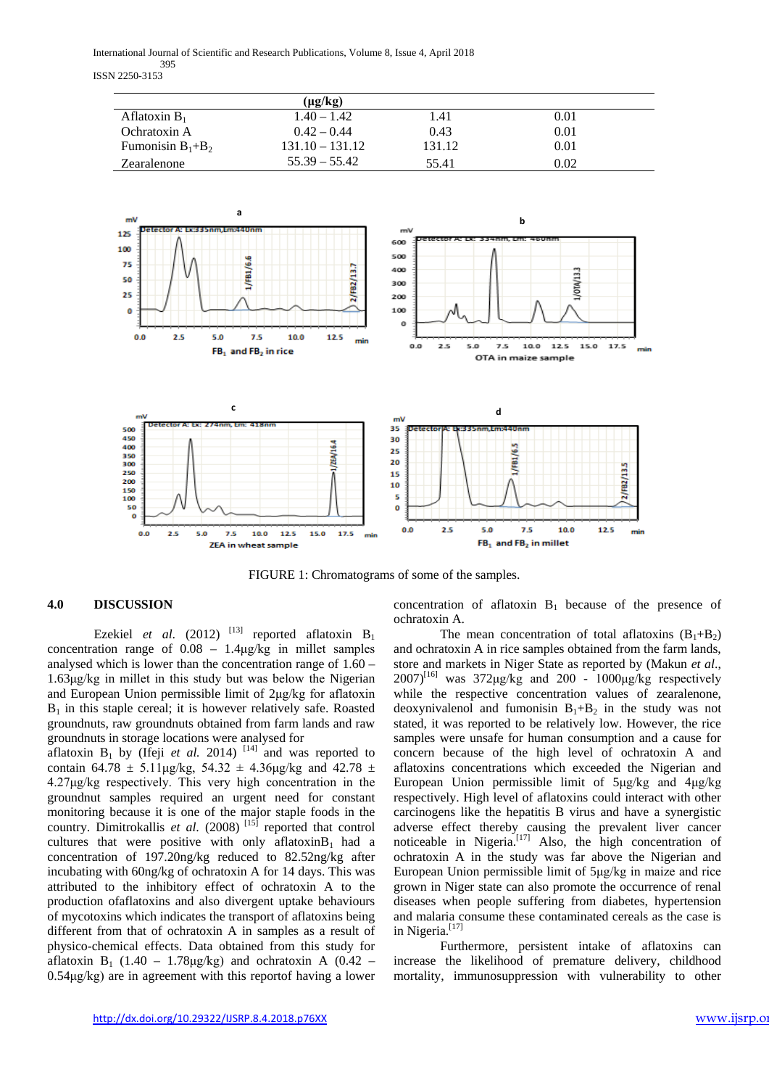International Journal of Scientific and Research Publications, Volume 8, Issue 4, April 2018 395 ISSN 2250-3153

|                       | $(\mu g/kg)$      |        |      |  |
|-----------------------|-------------------|--------|------|--|
| Aflatoxin $B_1$       | $1.40 - 1.42$     | 1.41   | 0.01 |  |
| Ochratoxin A          | $0.42 - 0.44$     | 0.43   | 0.01 |  |
| Fumonisin $B_1 + B_2$ | $131.10 - 131.12$ | 131.12 | 0.01 |  |
| Zearalenone           | $55.39 - 55.42$   | 55.41  | 0.02 |  |



FIGURE 1: Chromatograms of some of the samples.

## **4.0 DISCUSSION**

Ezekiel *et al.* (2012) <sup>[13]</sup> reported aflatoxin  $B_1$ concentration range of 0.08 – 1.4μg/kg in millet samples analysed which is lower than the concentration range of 1.60 – 1.63μg/kg in millet in this study but was below the Nigerian and European Union permissible limit of 2μg/kg for aflatoxin  $B_1$  in this staple cereal; it is however relatively safe. Roasted groundnuts, raw groundnuts obtained from farm lands and raw groundnuts in storage locations were analysed for

aflatoxin  $B_1$  by (Ifeji *et al.* 2014)<sup>[14]</sup> and was reported to contain 64.78  $\pm$  5.11 μg/kg, 54.32  $\pm$  4.36 μg/kg and 42.78  $\pm$ 4.27μg/kg respectively. This very high concentration in the groundnut samples required an urgent need for constant monitoring because it is one of the major staple foods in the country. Dimitrokallis *et al.* (2008)<sup>[15]</sup> reported that control cultures that were positive with only aflatoxin $B_1$  had a concentration of 197.20ng/kg reduced to 82.52ng/kg after incubating with 60ng/kg of ochratoxin A for 14 days. This was attributed to the inhibitory effect of ochratoxin A to the production ofaflatoxins and also divergent uptake behaviours of mycotoxins which indicates the transport of aflatoxins being different from that of ochratoxin A in samples as a result of physico-chemical effects. Data obtained from this study for aflatoxin B<sub>1</sub> (1.40 – 1.78µg/kg) and ochratoxin A (0.42 – 0.54μg/kg) are in agreement with this reportof having a lower concentration of aflatoxin  $B_1$  because of the presence of ochratoxin A.

The mean concentration of total aflatoxins  $(B_1+B_2)$ and ochratoxin A in rice samples obtained from the farm lands, store and markets in Niger State as reported by (Makun *et al*.,  $2007$ <sup>[16]</sup> was  $372\mu$ g/kg and  $200$  -  $1000\mu$ g/kg respectively while the respective concentration values of zearalenone, deoxynivalenol and fumonisin  $B_1+B_2$  in the study was not stated, it was reported to be relatively low. However, the rice samples were unsafe for human consumption and a cause for concern because of the high level of ochratoxin A and aflatoxins concentrations which exceeded the Nigerian and European Union permissible limit of 5μg/kg and 4μg/kg respectively. High level of aflatoxins could interact with other carcinogens like the hepatitis B virus and have a synergistic adverse effect thereby causing the prevalent liver cancer noticeable in Nigeria.<sup>[17]</sup> Also, the high concentration of ochratoxin A in the study was far above the Nigerian and European Union permissible limit of 5μg/kg in maize and rice grown in Niger state can also promote the occurrence of renal diseases when people suffering from diabetes, hypertension and malaria consume these contaminated cereals as the case is in Nigeria.<sup>[17]</sup>

Furthermore, persistent intake of aflatoxins can increase the likelihood of premature delivery, childhood mortality, immunosuppression with vulnerability to other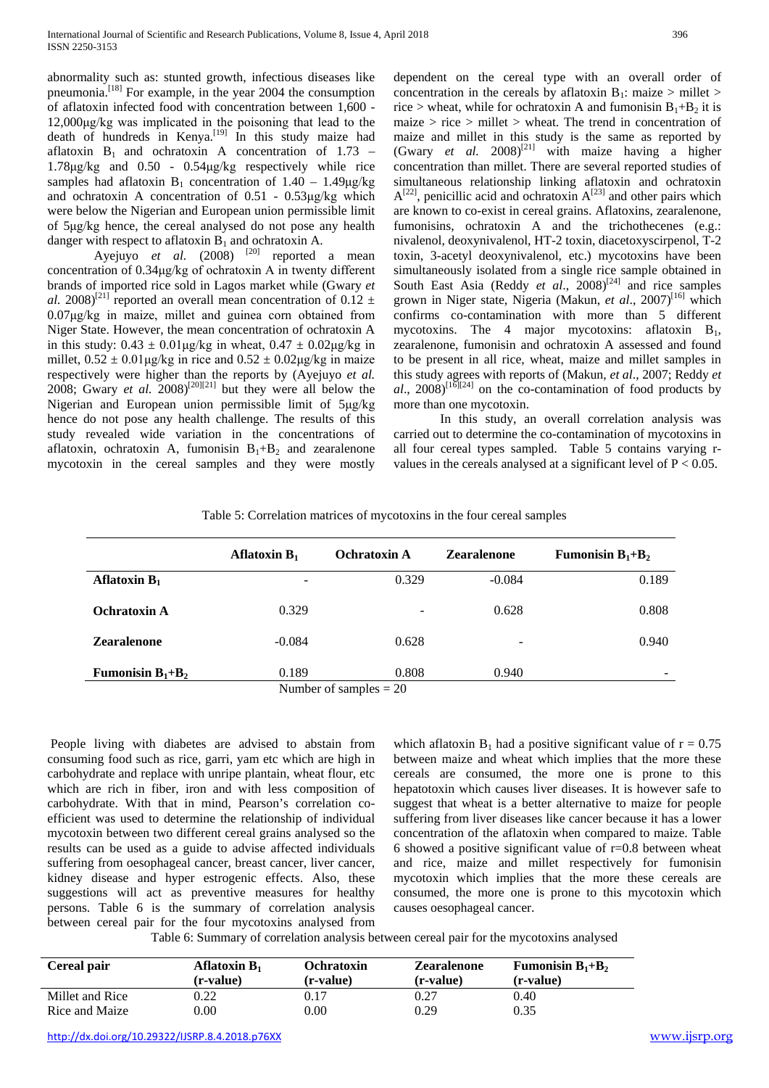abnormality such as: stunted growth, infectious diseases like pneumonia.<sup>[18]</sup> For example, in the year 2004 the consumption of aflatoxin infected food with concentration between 1,600 - 12,000μg/kg was implicated in the poisoning that lead to the death of hundreds in Kenya. [19] In this study maize had aflatoxin  $B_1$  and ochratoxin A concentration of 1.73 – 1.78μg/kg and 0.50 - 0.54μg/kg respectively while rice samples had aflatoxin  $B_1$  concentration of 1.40 – 1.49μg/kg and ochratoxin A concentration of 0.51 - 0.53μg/kg which were below the Nigerian and European union permissible limit of 5μg/kg hence, the cereal analysed do not pose any health danger with respect to aflatoxin  $B_1$  and ochratoxin A.

Ayejuyo *et al.*  $(2008)$  <sup>[20]</sup> reported a mean concentration of 0.34μg/kg of ochratoxin A in twenty different brands of imported rice sold in Lagos market while (Gwary *et al.* 2008)<sup>[21]</sup> reported an overall mean concentration of 0.12  $\pm$ 0.07μg/kg in maize, millet and guinea corn obtained from Niger State. However, the mean concentration of ochratoxin A in this study:  $0.43 \pm 0.01 \mu$ g/kg in wheat,  $0.47 \pm 0.02 \mu$ g/kg in millet,  $0.52 \pm 0.01 \mu$ g/kg in rice and  $0.52 \pm 0.02 \mu$ g/kg in maize respectively were higher than the reports by (Ayejuyo *et al.* 2008; Gwary *et al.*  $2008$ <sup>[20][21]</sup> but they were all below the Nigerian and European union permissible limit of 5μg/kg hence do not pose any health challenge. The results of this study revealed wide variation in the concentrations of aflatoxin, ochratoxin A, fumonisin  $B_1 + B_2$  and zearalenone mycotoxin in the cereal samples and they were mostly

dependent on the cereal type with an overall order of concentration in the cereals by aflatoxin  $B_1$ : maize > millet > rice > wheat, while for ochratoxin A and fumonisin  $B_1 + B_2$  it is maize  $>$  rice  $>$  millet  $>$  wheat. The trend in concentration of maize and millet in this study is the same as reported by (Gwary *et al.*  $2008$ <sup>[21]</sup> with maize having a higher concentration than millet. There are several reported studies of simultaneous relationship linking aflatoxin and ochratoxin  $A^{[22]}$ , penicillic acid and ochratoxin  $A^{[23]}$  and other pairs which are known to co-exist in cereal grains. Aflatoxins, zearalenone, fumonisins, ochratoxin A and the trichothecenes (e.g.: nivalenol, deoxynivalenol, HT-2 toxin, diacetoxyscirpenol, T-2 toxin, 3-acetyl deoxynivalenol, etc.) mycotoxins have been simultaneously isolated from a single rice sample obtained in South East Asia (Reddy *et al.*, 2008)<sup>[24]</sup> and rice samples grown in Niger state, Nigeria (Makun, et al., 2007)<sup>[16]</sup> which confirms co-contamination with more than 5 different mycotoxins. The 4 major mycotoxins: aflatoxin  $B_1$ , zearalenone, fumonisin and ochratoxin A assessed and found to be present in all rice, wheat, maize and millet samples in this study agrees with reports of (Makun, *et al*., 2007; Reddy *et*   $al$ ,  $2008$ )<sup>[16][24]</sup> on the co-contamination of food products by more than one mycotoxin.

In this study, an overall correlation analysis was carried out to determine the co-contamination of mycotoxins in all four cereal types sampled. Table 5 contains varying rvalues in the cereals analysed at a significant level of  $P < 0.05$ .

## Table 5: Correlation matrices of mycotoxins in the four cereal samples

| Aflatoxin $B_1$     | -        | 0.329                             | $-0.084$ | 0.189 |
|---------------------|----------|-----------------------------------|----------|-------|
| <b>Ochratoxin A</b> | 0.329    | $\overline{\phantom{a}}$          | 0.628    | 0.808 |
| <b>Zearalenone</b>  | $-0.084$ | 0.628                             | -        | 0.940 |
| Fumonisin $B_1+B_2$ | 0.189    | 0.808<br>Number of samples $= 20$ | 0.940    |       |

Number ot sampies

People living with diabetes are advised to abstain from consuming food such as rice, garri, yam etc which are high in carbohydrate and replace with unripe plantain, wheat flour, etc which are rich in fiber, iron and with less composition of carbohydrate. With that in mind, Pearson's correlation coefficient was used to determine the relationship of individual mycotoxin between two different cereal grains analysed so the results can be used as a guide to advise affected individuals suffering from oesophageal cancer, breast cancer, liver cancer, kidney disease and hyper estrogenic effects. Also, these suggestions will act as preventive measures for healthy persons. Table 6 is the summary of correlation analysis between cereal pair for the four mycotoxins analysed from which aflatoxin  $B_1$  had a positive significant value of  $r = 0.75$ between maize and wheat which implies that the more these cereals are consumed, the more one is prone to this hepatotoxin which causes liver diseases. It is however safe to suggest that wheat is a better alternative to maize for people suffering from liver diseases like cancer because it has a lower concentration of the aflatoxin when compared to maize. Table 6 showed a positive significant value of  $r=0.8$  between wheat and rice, maize and millet respectively for fumonisin mycotoxin which implies that the more these cereals are consumed, the more one is prone to this mycotoxin which causes oesophageal cancer.

Table 6: Summary of correlation analysis between cereal pair for the mycotoxins analysed

| Cereal pair     | Aflatoxin $B_1$<br>(r-value) | Ochratoxin<br>(r-value) | <b>Zearalenone</b><br>(r-value) | <b>Fumonisin <math>B_1 + B_2</math></b><br>(r-value) |
|-----------------|------------------------------|-------------------------|---------------------------------|------------------------------------------------------|
| Millet and Rice | 0.22                         | 0.17                    | 0.27                            | 0.40                                                 |
| Rice and Maize  | 0.00                         | $0.00\,$                | 0.29                            | 0.35                                                 |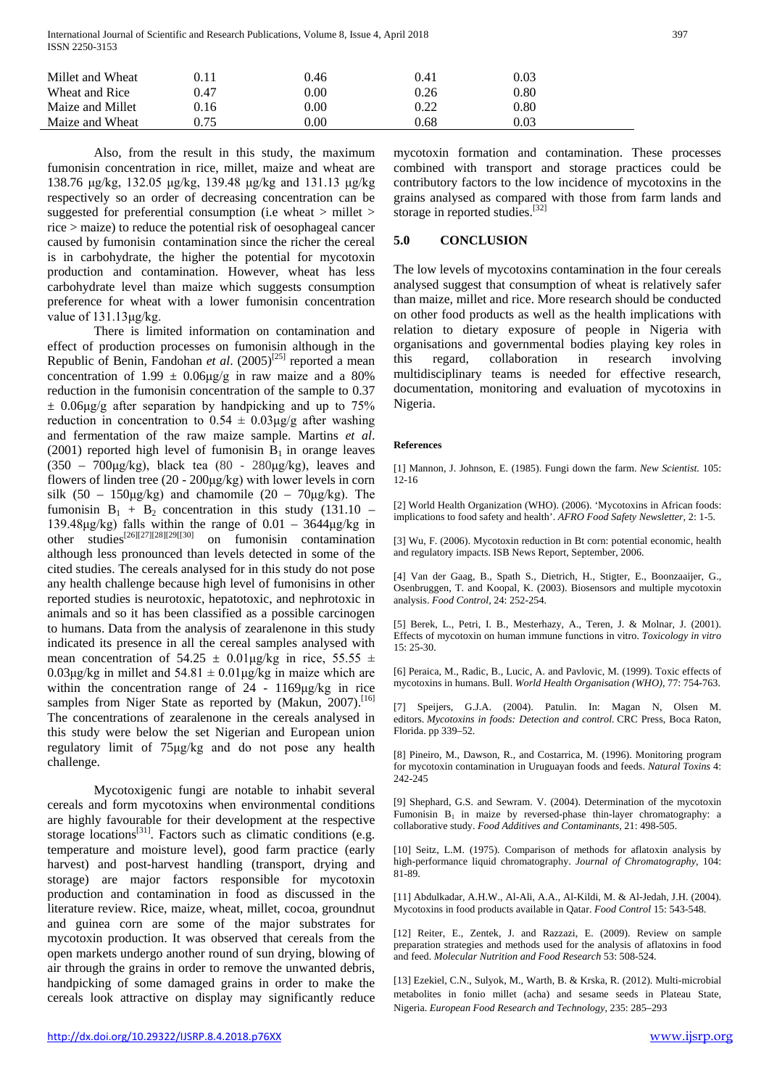International Journal of Scientific and Research Publications, Volume 8, Issue 4, April 2018 397 ISSN 2250-3153

| Millet and Wheat | $0.11\,$ | 0.46     | 0.41 | 0.03     |  |
|------------------|----------|----------|------|----------|--|
| Wheat and Rice   | 0.47     | $0.00\,$ | 0.26 | ${0.80}$ |  |
| Maize and Millet | 0.16     | $0.00\,$ | 0.22 | ${0.80}$ |  |
| Maize and Wheat  | 0.75     | $0.00\,$ | 0.68 | 0.03     |  |

Also, from the result in this study, the maximum fumonisin concentration in rice, millet, maize and wheat are 138.76 μg/kg, 132.05 μg/kg, 139.48 μg/kg and 131.13 μg/kg respectively so an order of decreasing concentration can be suggested for preferential consumption (i.e wheat > millet > rice > maize) to reduce the potential risk of oesophageal cancer caused by fumonisin contamination since the richer the cereal is in carbohydrate, the higher the potential for mycotoxin production and contamination. However, wheat has less carbohydrate level than maize which suggests consumption preference for wheat with a lower fumonisin concentration value of 131.13μg/kg.

There is limited information on contamination and effect of production processes on fumonisin although in the Republic of Benin, Fandohan *et al.* (2005)<sup>[25]</sup> reported a mean concentration of 1.99  $\pm$  0.06µg/g in raw maize and a 80% reduction in the fumonisin concentration of the sample to 0.37  $\pm$  0.06μg/g after separation by handpicking and up to 75% reduction in concentration to  $0.54 \pm 0.03$ ug/g after washing and fermentation of the raw maize sample. Martins *et al*. (2001) reported high level of fumonisin  $B_1$  in orange leaves (350 – 700 $\mu$ g/kg), black tea (80 - 280 $\mu$ g/kg), leaves and flowers of linden tree (20 - 200μg/kg) with lower levels in corn silk  $(50 - 150\mu g/kg)$  and chamomile  $(20 - 70\mu g/kg)$ . The fumonisin  $B_1 + B_2$  concentration in this study (131.10 – 139.48μg/kg) falls within the range of  $0.01 - 3644$ μg/kg in other studies[26][27][28][29[[30] on fumonisin contamination although less pronounced than levels detected in some of the cited studies. The cereals analysed for in this study do not pose any health challenge because high level of fumonisins in other reported studies is neurotoxic, hepatotoxic, and nephrotoxic in animals and so it has been classified as a possible carcinogen to humans. Data from the analysis of zearalenone in this study indicated its presence in all the cereal samples analysed with mean concentration of  $54.25 \pm 0.01 \mu$ g/kg in rice,  $55.55 \pm 0.01 \mu$ g/kg in rice,  $55.55 \pm 0.01 \mu$ g/kg in rice,  $55.55 \pm 0.01 \mu$ g/kg in rice,  $55.55 \pm 0.01 \mu$ g/kg in rice,  $55.55 \pm 0.01 \mu$ g/kg in rice,  $55.55 \pm 0.01 \mu$ g/k 0.03 $\mu$ g/kg in millet and 54.81  $\pm$  0.01 $\mu$ g/kg in maize which are within the concentration range of 24 - 1169μg/kg in rice samples from Niger State as reported by (Makun, 2007).<sup>[16]</sup> The concentrations of zearalenone in the cereals analysed in this study were below the set Nigerian and European union regulatory limit of 75μg/kg and do not pose any health challenge.

Mycotoxigenic fungi are notable to inhabit several cereals and form mycotoxins when environmental conditions are highly favourable for their development at the respective storage locations<sup>[31]</sup>. Factors such as climatic conditions (e.g. temperature and moisture level), good farm practice (early harvest) and post-harvest handling (transport, drying and storage) are major factors responsible for mycotoxin production and contamination in food as discussed in the literature review. Rice, maize, wheat, millet, cocoa, groundnut and guinea corn are some of the major substrates for mycotoxin production. It was observed that cereals from the open markets undergo another round of sun drying, blowing of air through the grains in order to remove the unwanted debris, handpicking of some damaged grains in order to make the cereals look attractive on display may significantly reduce mycotoxin formation and contamination. These processes combined with transport and storage practices could be contributory factors to the low incidence of mycotoxins in the grains analysed as compared with those from farm lands and storage in reported studies.<sup>[32]</sup>

#### **5.0 CONCLUSION**

The low levels of mycotoxins contamination in the four cereals analysed suggest that consumption of wheat is relatively safer than maize, millet and rice. More research should be conducted on other food products as well as the health implications with relation to dietary exposure of people in Nigeria with organisations and governmental bodies playing key roles in this regard, collaboration in research involving multidisciplinary teams is needed for effective research, documentation, monitoring and evaluation of mycotoxins in Nigeria.

#### **References**

[1] Mannon, J. Johnson, E. (1985). Fungi down the farm. *New Scientist.* 105: 12-16

[2] World Health Organization (WHO). (2006). 'Mycotoxins in African foods: implications to food safety and health'. *AFRO Food Safety Newsletter,* 2: 1-5.

[3] Wu, F. (2006). Mycotoxin reduction in Bt corn: potential economic, health and regulatory impacts. ISB News Report, September, 2006.

[4] Van der Gaag, B., Spath S., Dietrich, H., Stigter, E., Boonzaaijer, G., Osenbruggen, T. and Koopal, K. (2003). Biosensors and multiple mycotoxin analysis. *Food Control,* 24: 252-254.

[5] Berek, L., Petri, I. B., Mesterhazy, A., Teren, J. & Molnar, J. (2001). Effects of mycotoxin on human immune functions in vitro. *Toxicology in vitro* 15: 25-30.

[6] Peraica, M., Radic, B., Lucic, A. and Pavlovic, M. (1999). Toxic effects of mycotoxins in humans. Bull. *World Health Organisation (WHO),* 77: 754-763.

[7] Speijers, G.J.A. (2004). Patulin. In: Magan N, Olsen M. editors. *Mycotoxins in foods: Detection and control.* CRC Press, Boca Raton, Florida. pp 339–52.

[8] Pineiro, M., Dawson, R., and Costarrica, M. (1996). Monitoring program for mycotoxin contamination in Uruguayan foods and feeds. *Natural Toxins* 4: 242-245

[9] Shephard, G.S. and Sewram. V. (2004). Determination of the mycotoxin Fumonisin  $B_1$  in maize by reversed-phase thin-layer chromatography: a collaborative study. *Food Additives and Contaminants,* 21: 498-505.

[10] Seitz, L.M. (1975). Comparison of methods for aflatoxin analysis by high-performance liquid chromatography. *Journal of Chromatography,* 104: 81-89.

[11] Abdulkadar, A.H.W., Al-Ali, A.A., Al-Kildi, M. & Al-Jedah, J.H. (2004). Mycotoxins in food products available in Qatar. *Food Control* 15: 543-548.

[12] Reiter, E., Zentek, J. and Razzazi, E. (2009). Review on sample preparation strategies and methods used for the analysis of aflatoxins in food and feed. *Molecular Nutrition and Food Research* 53: 508-524.

[13] Ezekiel, C.N., Sulyok, M., Warth, B. & Krska, R. (2012). Multi-microbial metabolites in fonio millet (acha) and sesame seeds in Plateau State, Nigeria. *European Food Research and Technology*, 235: 285–293